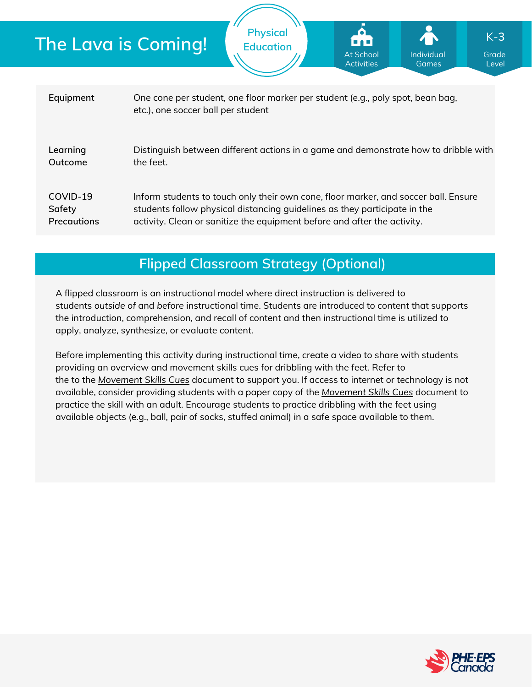|                                   | <b>The Lava is Coming!</b>                                                                                                                                                                                                                   | <b>Physical</b><br><b>Education</b>                                            | is a si<br>At School<br><b>Activities</b> | $\sum_{i=1}^{n}$<br>Individual<br>Games | $K-3$<br>Grade<br>Level |  |  |
|-----------------------------------|----------------------------------------------------------------------------------------------------------------------------------------------------------------------------------------------------------------------------------------------|--------------------------------------------------------------------------------|-------------------------------------------|-----------------------------------------|-------------------------|--|--|
|                                   |                                                                                                                                                                                                                                              |                                                                                |                                           |                                         |                         |  |  |
| Equipment                         | etc.), one soccer ball per student                                                                                                                                                                                                           | One cone per student, one floor marker per student (e.g., poly spot, bean bag, |                                           |                                         |                         |  |  |
| Learning<br>Outcome               | Distinguish between different actions in a game and demonstrate how to dribble with<br>the feet.                                                                                                                                             |                                                                                |                                           |                                         |                         |  |  |
| COVID-19<br>Safety<br>Precautions | Inform students to touch only their own cone, floor marker, and soccer ball. Ensure<br>students follow physical distancing quidelines as they participate in the<br>activity. Clean or sanitize the equipment before and after the activity. |                                                                                |                                           |                                         |                         |  |  |
|                                   |                                                                                                                                                                                                                                              |                                                                                |                                           |                                         |                         |  |  |

## **Flipped Classroom Strategy (Optional)**

A flipped classroom is an instructional model where direct instruction is delivered to students *outside of* and *before* instructional time. Students are introduced to content that supports the introduction, comprehension, and recall of content and then instructional time is utilized to apply, analyze, synthesize, or evaluate content.

Before implementing this activity during instructional time, create a video to share with students providing an overview and movement skills cues for dribbling with the feet. Refer to the to the *[Movement](https://phecanada.ca/sites/default/files/content/docs/Home%20Learning%20Resource/Movement%20Cues/Movement%20Skills%20Cues%201.pdf) Skills Cues* document to support you. If access to internet or technology is not available, consider providing students with a paper copy of the *[Movement](https://phecanada.ca/sites/default/files/content/docs/Home%20Learning%20Resource/Movement%20Cues/Movement%20Skills%20Cues%201.pdf) Skills Cues* document to practice the skill with an adult. Encourage students to practice dribbling with the feet using available objects (e.g., ball, pair of socks, stuffed animal) in a safe space available to them.

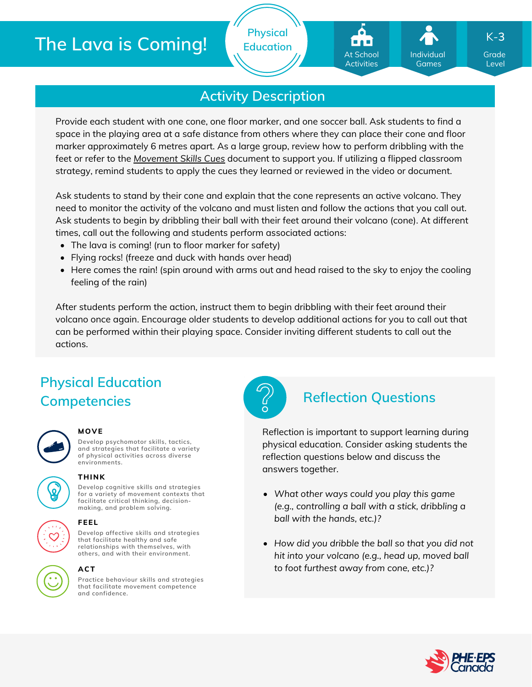# **The Lava is Coming!**

**Physical Education**

## At School Activities

Individual Games

Grade K-**3**

Level

## **Activity Description**

Provide each student with one cone, one floor marker, and one soccer ball. Ask students to find a space in the playing area at a safe distance from others where they can place their cone and floor marker approximately 6 metres apart. As a large group, review how to perform dribbling with the feet or refer to the *[Movement](https://phecanada.ca/sites/default/files/content/docs/Home%20Learning%20Resource/Movement%20Cues/Movement%20Skills%20Cues%201.pdf) Skills Cues* document to support you. If utilizing a flipped classroom strategy, remind students to apply the cues they learned or reviewed in the video or document.

Ask students to stand by their cone and explain that the cone represents an active volcano. They need to monitor the activity of the volcano and must listen and follow the actions that you call out. Ask students to begin by dribbling their ball with their feet around their volcano (cone). At different times, call out the following and students perform associated actions:

- The lava is coming! (run to floor marker for safety)
- Flying rocks! (freeze and duck with hands over head)
- Here comes the rain! (spin around with arms out and head raised to the sky to enjoy the cooling feeling of the rain)

After students perform the action, instruct them to begin dribbling with their feet around their volcano once again. Encourage older students to develop additional actions for you to call out that can be performed within their playing space. Consider inviting different students to call out the actions.

# **Physical Education Competencies Reflection Questions**



### **MOVE**

**Develop psychomotor skills, tactics, and strategies that facilitate a variety of physical activities across diverse environments.**



**Develop cognitive skills and strategies for a variety of movement contexts that facilitate critical thinking, decision making, and problem solving. THINK**



### **ACT**

**Practice behaviour skills and strategies that facilitate movement competence and confidence.**



Reflection is important to support learning during physical education. Consider asking students the reflection questions below and discuss the answers together.

- *What other ways could you play this game (e.g., controlling a ball with a stick, dribbling a ball with the hands, etc.)?*
- *How did you dribble the ball so that you did not hit into your volcano (e.g., head up, moved ball to foot furthest away from cone, etc.)?*